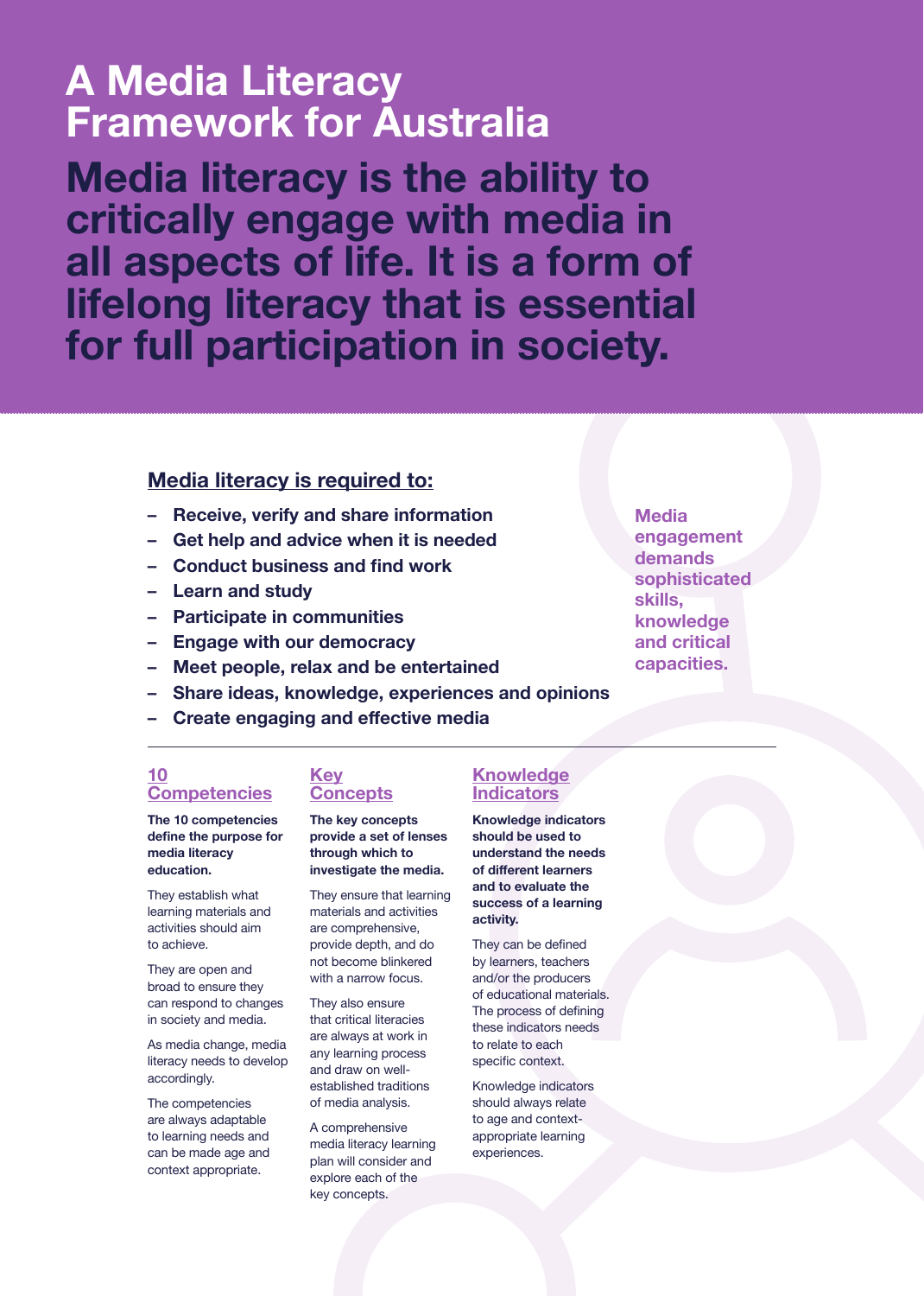# **A Media Literacy Framework for Australia**

**Media literacy is the ability to critically engage with media in all aspects of life. It is a form of lifelong literacy that is essential for full participation in society.**

## **Media literacy is required to:**

- **Receive, verify and share information**
- **Get help and advice when it is needed**
- **Conduct business and find work**
- **Learn and study**
- **Participate in communities**
- **Engage with our democracy**
- **Meet people, relax and be entertained**
- **Share ideas, knowledge, experiences and opinions**
- **Create engaging and effective media**

### **10 Competencies**

**The 10 competencies define the purpose for media literacy education.**

They establish what learning materials and activities should aim to achieve.

They are open and broad to ensure they can respond to changes in society and media.

As media change, media literacy needs to develop accordingly.

The competencies are always adaptable to learning needs and can be made age and context appropriate.

## **Key Concepts**

**The key concepts provide a set of lenses through which to investigate the media.**

They ensure that learning materials and activities are comprehensive, provide depth, and do not become blinkered with a narrow focus.

They also ensure that critical literacies are always at work in any learning process and draw on wellestablished traditions of media analysis.

A comprehensive media literacy learning plan will consider and explore each of the key concepts.

## **Knowledge Indicators**

**Knowledge indicators should be used to understand the needs of different learners and to evaluate the success of a learning activity.** 

They can be defined by learners, teachers and/or the producers of educational materials. The process of defining these indicators needs to relate to each specific context.

Knowledge indicators should always relate to age and contextappropriate learning experiences.

**Media engagement demands sophisticated skills, knowledge and critical capacities.**